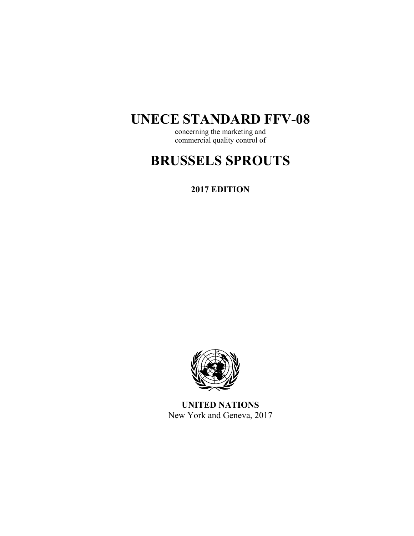## **UNECE STANDARD FFV-08**

concerning the marketing and commercial quality control of

# **BRUSSELS SPROUTS**

**2017 EDITION** 



**UNITED NATIONS**  New York and Geneva, 2017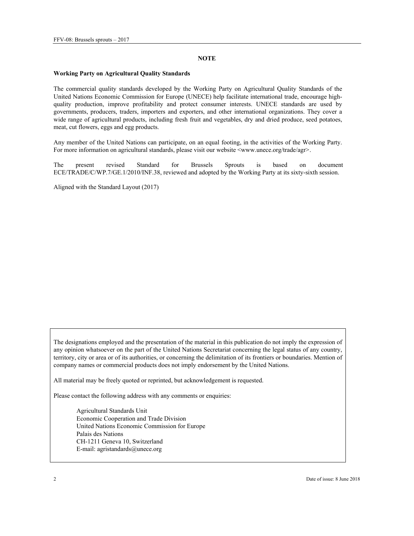#### **NOTE**

#### **Working Party on Agricultural Quality Standards**

The commercial quality standards developed by the Working Party on Agricultural Quality Standards of the United Nations Economic Commission for Europe (UNECE) help facilitate international trade, encourage highquality production, improve profitability and protect consumer interests. UNECE standards are used by governments, producers, traders, importers and exporters, and other international organizations. They cover a wide range of agricultural products, including fresh fruit and vegetables, dry and dried produce, seed potatoes, meat, cut flowers, eggs and egg products.

Any member of the United Nations can participate, on an equal footing, in the activities of the Working Party. For more information on agricultural standards, please visit our website <www.unece.org/trade/agr>.

The present revised Standard for Brussels Sprouts is based on document ECE/TRADE/C/WP.7/GE.1/2010/INF.38, reviewed and adopted by the Working Party at its sixty-sixth session.

Aligned with the Standard Layout (2017)

The designations employed and the presentation of the material in this publication do not imply the expression of any opinion whatsoever on the part of the United Nations Secretariat concerning the legal status of any country, territory, city or area or of its authorities, or concerning the delimitation of its frontiers or boundaries. Mention of company names or commercial products does not imply endorsement by the United Nations.

All material may be freely quoted or reprinted, but acknowledgement is requested.

Please contact the following address with any comments or enquiries:

Agricultural Standards Unit Economic Cooperation and Trade Division United Nations Economic Commission for Europe Palais des Nations CH-1211 Geneva 10, Switzerland E-mail: agristandards@unece.org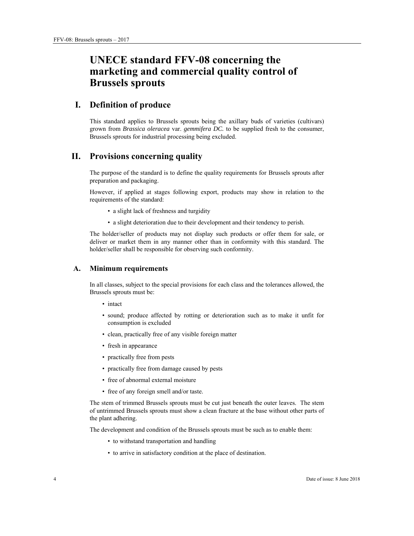## **UNECE standard FFV-08 concerning the marketing and commercial quality control of Brussels sprouts**

## **I. Definition of produce**

This standard applies to Brussels sprouts being the axillary buds of varieties (cultivars) grown from *Brassica oleracea* var. *gemmifera DC.* to be supplied fresh to the consumer, Brussels sprouts for industrial processing being excluded.

## **II. Provisions concerning quality**

The purpose of the standard is to define the quality requirements for Brussels sprouts after preparation and packaging.

However, if applied at stages following export, products may show in relation to the requirements of the standard:

- a slight lack of freshness and turgidity
- a slight deterioration due to their development and their tendency to perish.

The holder/seller of products may not display such products or offer them for sale, or deliver or market them in any manner other than in conformity with this standard. The holder/seller shall be responsible for observing such conformity.

#### **A. Minimum requirements**

In all classes, subject to the special provisions for each class and the tolerances allowed, the Brussels sprouts must be:

- intact
- sound; produce affected by rotting or deterioration such as to make it unfit for consumption is excluded
- clean, practically free of any visible foreign matter
- fresh in appearance
- practically free from pests
- practically free from damage caused by pests
- free of abnormal external moisture
- free of any foreign smell and/or taste.

The stem of trimmed Brussels sprouts must be cut just beneath the outer leaves. The stem of untrimmed Brussels sprouts must show a clean fracture at the base without other parts of the plant adhering.

The development and condition of the Brussels sprouts must be such as to enable them:

- to withstand transportation and handling
- to arrive in satisfactory condition at the place of destination.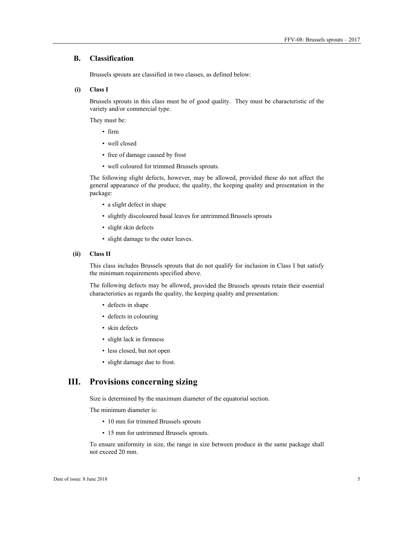#### **B. Classification**

Brussels sprouts are classified in two classes, as defined below:

 **(i) Class I** 

Brussels sprouts in this class must be of good quality. They must be characteristic of the variety and/or commercial type.

They must be:

- firm
- well closed
- free of damage caused by frost
- well coloured for trimmed Brussels sprouts.

The following slight defects, however, may be allowed, provided these do not affect the general appearance of the produce, the quality, the keeping quality and presentation in the package:

- a slight defect in shape
- slightly discoloured basal leaves for untrimmed Brussels sprouts
- slight skin defects
- slight damage to the outer leaves.

#### **(ii) Class II**

This class includes Brussels sprouts that do not qualify for inclusion in Class I but satisfy the minimum requirements specified above.

The following defects may be allowed, provided the Brussels sprouts retain their essential characteristics as regards the quality, the keeping quality and presentation:

- defects in shape
- defects in colouring
- skin defects
- slight lack in firmness
- less closed, but not open
- slight damage due to frost.

### **III. Provisions concerning sizing**

Size is determined by the maximum diameter of the equatorial section.

The minimum diameter is:

- 10 mm for trimmed Brussels sprouts
- 15 mm for untrimmed Brussels sprouts.

To ensure uniformity in size, the range in size between produce in the same package shall not exceed 20 mm.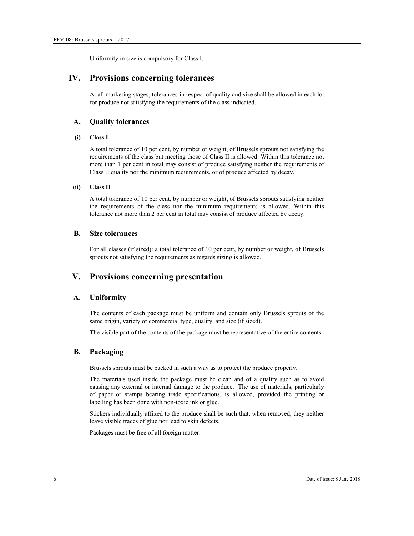Uniformity in size is compulsory for Class I.

## **IV. Provisions concerning tolerances**

At all marketing stages, tolerances in respect of quality and size shall be allowed in each lot for produce not satisfying the requirements of the class indicated.

#### **A. Quality tolerances**

#### **(i) Class I**

A total tolerance of 10 per cent, by number or weight, of Brussels sprouts not satisfying the requirements of the class but meeting those of Class II is allowed. Within this tolerance not more than 1 per cent in total may consist of produce satisfying neither the requirements of Class II quality nor the minimum requirements, or of produce affected by decay.

#### **(ii) Class II**

A total tolerance of 10 per cent, by number or weight, of Brussels sprouts satisfying neither the requirements of the class nor the minimum requirements is allowed. Within this tolerance not more than 2 per cent in total may consist of produce affected by decay.

#### **B. Size tolerances**

For all classes (if sized): a total tolerance of 10 per cent, by number or weight, of Brussels sprouts not satisfying the requirements as regards sizing is allowed.

## **V. Provisions concerning presentation**

#### **A. Uniformity**

The contents of each package must be uniform and contain only Brussels sprouts of the same origin, variety or commercial type, quality, and size (if sized).

The visible part of the contents of the package must be representative of the entire contents.

#### **B. Packaging**

Brussels sprouts must be packed in such a way as to protect the produce properly.

The materials used inside the package must be clean and of a quality such as to avoid causing any external or internal damage to the produce. The use of materials, particularly of paper or stamps bearing trade specifications, is allowed, provided the printing or labelling has been done with non-toxic ink or glue.

Stickers individually affixed to the produce shall be such that, when removed, they neither leave visible traces of glue nor lead to skin defects.

Packages must be free of all foreign matter.